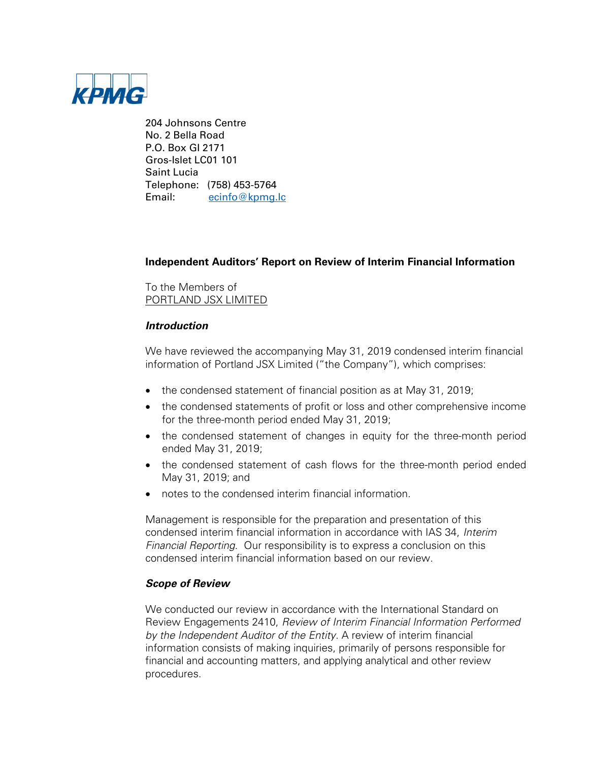

204 Johnsons Centre No. 2 Bella Road P.O. Box GI 2171 Gros-Islet LC01 101 Saint Lucia Telephone: (758) 453-5764 Email: [ecinfo@kpmg.lc](mailto:ecinfo@kpmg.lc)

# **Independent Auditors' Report on Review of Interim Financial Information**

To the Members of PORTLAND JSX LIMITED

## **Introduction**

We have reviewed the accompanying May 31, 2019 condensed interim financial information of Portland JSX Limited ("the Company"), which comprises:

- the condensed statement of financial position as at May 31, 2019;
- the condensed statements of profit or loss and other comprehensive income for the three-month period ended May 31, 2019;
- the condensed statement of changes in equity for the three-month period ended May 31, 2019;
- the condensed statement of cash flows for the three-month period ended May 31, 2019; and
- notes to the condensed interim financial information.

Management is responsible for the preparation and presentation of this condensed interim financial information in accordance with IAS 34, Interim Financial Reporting. Our responsibility is to express a conclusion on this condensed interim financial information based on our review.

## **Scope of Review**

We conducted our review in accordance with the International Standard on Review Engagements 2410, Review of Interim Financial Information Performed by the Independent Auditor of the Entity. A review of interim financial information consists of making inquiries, primarily of persons responsible for financial and accounting matters, and applying analytical and other review procedures.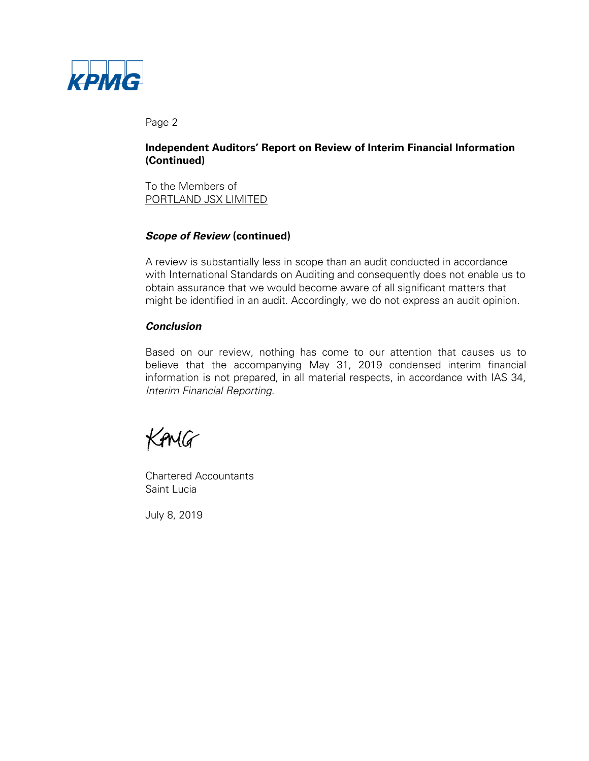

Page 2

# **Independent Auditors' Report on Review of Interim Financial Information (Continued)**

To the Members of PORTLAND JSX LIMITED

# **Scope of Review (continued)**

A review is substantially less in scope than an audit conducted in accordance with International Standards on Auditing and consequently does not enable us to obtain assurance that we would become aware of all significant matters that might be identified in an audit. Accordingly, we do not express an audit opinion.

## **Conclusion**

Based on our review, nothing has come to our attention that causes us to believe that the accompanying May 31, 2019 condensed interim financial information is not prepared, in all material respects, in accordance with IAS 34, Interim Financial Reporting.

KAMG

Chartered Accountants Saint Lucia

July 8, 2019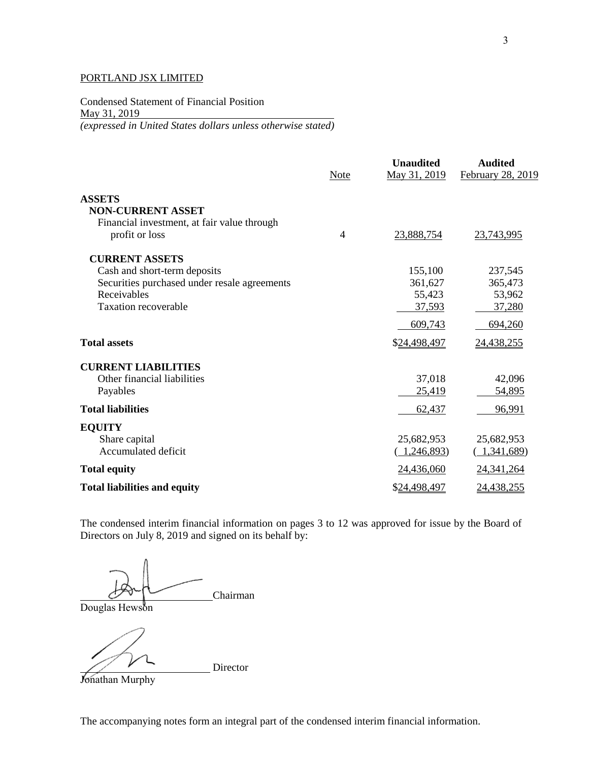Condensed Statement of Financial Position May 31, 2019 *(expressed in United States dollars unless otherwise stated)*

|                                              | Note           | <b>Unaudited</b><br>May 31, 2019 | <b>Audited</b><br>February 28, 2019 |
|----------------------------------------------|----------------|----------------------------------|-------------------------------------|
| <b>ASSETS</b>                                |                |                                  |                                     |
| <b>NON-CURRENT ASSET</b>                     |                |                                  |                                     |
| Financial investment, at fair value through  |                |                                  |                                     |
| profit or loss                               | $\overline{4}$ | 23,888,754                       | 23,743,995                          |
| <b>CURRENT ASSETS</b>                        |                |                                  |                                     |
| Cash and short-term deposits                 |                | 155,100                          | 237,545                             |
| Securities purchased under resale agreements |                | 361,627                          | 365,473                             |
| Receivables                                  |                | 55,423                           | 53,962                              |
| <b>Taxation recoverable</b>                  |                | 37,593                           | 37,280                              |
|                                              |                | 609,743                          | 694,260                             |
| <b>Total assets</b>                          |                | \$24,498,497                     | 24,438,255                          |
| <b>CURRENT LIABILITIES</b>                   |                |                                  |                                     |
| Other financial liabilities                  |                | 37,018                           | 42,096                              |
| Payables                                     |                | 25,419                           | 54,895                              |
| <b>Total liabilities</b>                     |                | 62,437                           | 96,991                              |
| <b>EQUITY</b>                                |                |                                  |                                     |
| Share capital                                |                | 25,682,953                       | 25,682,953                          |
| Accumulated deficit                          |                | 1,246,893                        | (1,341,689)                         |
| <b>Total equity</b>                          |                | 24,436,060                       | 24, 341, 264                        |
| <b>Total liabilities and equity</b>          |                | \$24,498,497                     | 24,438,255                          |

The condensed interim financial information on pages 3 to 12 was approved for issue by the Board of Directors on July 8, 2019 and signed on its behalf by:

Chairman

Douglas Hewson

Director

Jonathan Murphy

The accompanying notes form an integral part of the condensed interim financial information.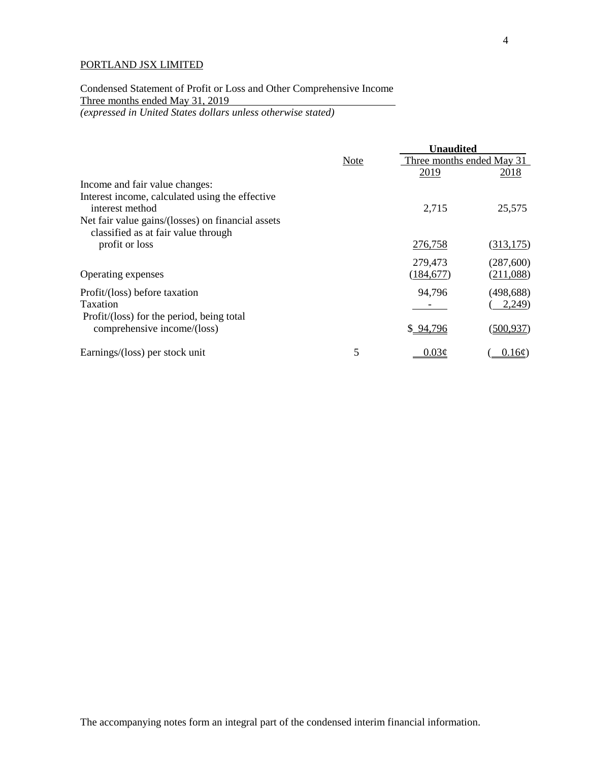Condensed Statement of Profit or Loss and Other Comprehensive Income Three months ended May 31, 2019

*(expressed in United States dollars unless otherwise stated)*

|                                                   |      | <b>Unaudited</b>          |            |  |
|---------------------------------------------------|------|---------------------------|------------|--|
|                                                   | Note | Three months ended May 31 |            |  |
|                                                   |      | 2019                      | 2018       |  |
| Income and fair value changes:                    |      |                           |            |  |
| Interest income, calculated using the effective   |      |                           |            |  |
| interest method                                   |      | 2,715                     | 25,575     |  |
| Net fair value gains/(losses) on financial assets |      |                           |            |  |
| classified as at fair value through               |      |                           |            |  |
| profit or loss                                    |      | 276,758                   | (313, 175) |  |
|                                                   |      | 279,473                   | (287,600)  |  |
| Operating expenses                                |      | (184, 677)                | (211,088)  |  |
|                                                   |      |                           |            |  |
| Profit/(loss) before taxation                     |      | 94,796                    | (498, 688) |  |
| Taxation                                          |      |                           | 2,249      |  |
| Profit/(loss) for the period, being total         |      |                           |            |  |
| comprehensive income/(loss)                       |      | \$94,796                  | (500, 937) |  |
| Earnings/(loss) per stock unit                    | 5    | $0.03\epsilon$            | 0.16c      |  |
|                                                   |      |                           |            |  |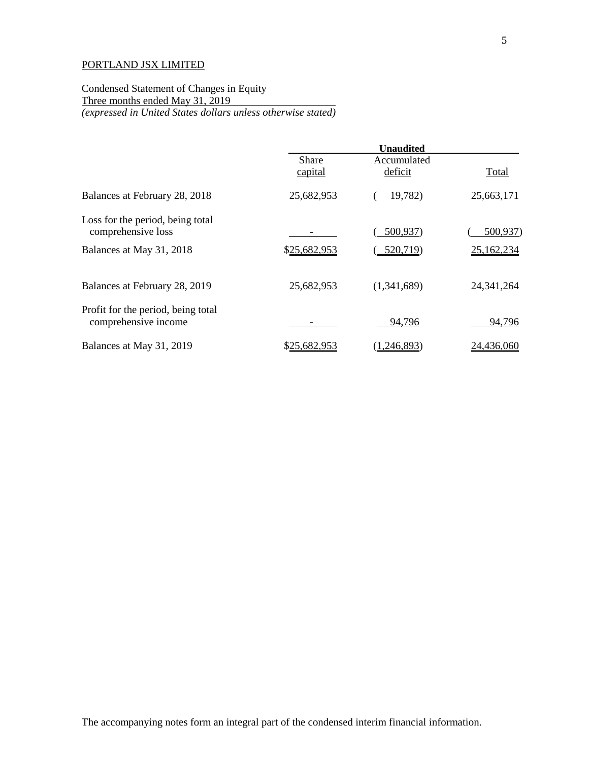Condensed Statement of Changes in Equity Three months ended May 31, 2019 *(expressed in United States dollars unless otherwise stated)*

|                                                            | <b>Unaudited</b> |                        |              |
|------------------------------------------------------------|------------------|------------------------|--------------|
|                                                            | Share<br>capital | Accumulated<br>deficit | Total        |
| Balances at February 28, 2018                              | 25,682,953       | 19,782)                | 25,663,171   |
| Loss for the period, being total<br>comprehensive loss     |                  | 500,937)               | 500,937)     |
| Balances at May 31, 2018                                   | \$25,682,953     | 520,719)               | 25,162,234   |
| Balances at February 28, 2019                              | 25,682,953       | (1,341,689)            | 24, 341, 264 |
| Profit for the period, being total<br>comprehensive income |                  | 94,796                 | 94,796       |
| Balances at May 31, 2019                                   | \$25,682,953     | ,246,893)              | 24,436,060   |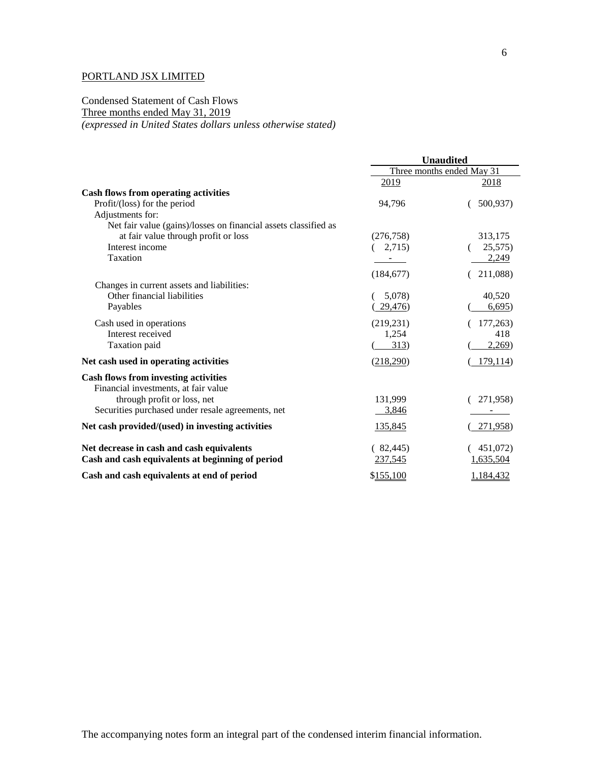## Condensed Statement of Cash Flows Three months ended May 31, 2019 *(expressed in United States dollars unless otherwise stated)*

|                                                                 | <b>Unaudited</b>          |           |
|-----------------------------------------------------------------|---------------------------|-----------|
|                                                                 | Three months ended May 31 |           |
|                                                                 | 2019                      | 2018      |
| <b>Cash flows from operating activities</b>                     |                           |           |
| Profit/(loss) for the period                                    | 94,796                    | 500,937)  |
| Adjustments for:                                                |                           |           |
| Net fair value (gains)/losses on financial assets classified as |                           |           |
| at fair value through profit or loss                            | (276, 758)                | 313,175   |
| Interest income                                                 | 2,715)                    | 25,575)   |
| Taxation                                                        |                           | 2,249     |
|                                                                 | (184, 677)                | 211,088)  |
| Changes in current assets and liabilities:                      |                           |           |
| Other financial liabilities                                     | 5,078)                    | 40,520    |
| Payables                                                        | 29,476)                   | 6,695)    |
| Cash used in operations                                         | (219, 231)                | 177,263)  |
| Interest received                                               | 1,254                     | 418       |
| Taxation paid                                                   | 313)                      | 2,269)    |
| Net cash used in operating activities                           | (218,290)                 | 179,114   |
| <b>Cash flows from investing activities</b>                     |                           |           |
| Financial investments, at fair value                            |                           |           |
| through profit or loss, net                                     | 131,999                   | 271,958)  |
| Securities purchased under resale agreements, net               | 3,846                     |           |
| Net cash provided/(used) in investing activities                | 135,845                   | 271,958)  |
| Net decrease in cash and cash equivalents                       | (82, 445)                 | 451,072)  |
| Cash and cash equivalents at beginning of period                | 237,545                   | 1,635,504 |
| Cash and cash equivalents at end of period                      | \$155,100                 | 1,184,432 |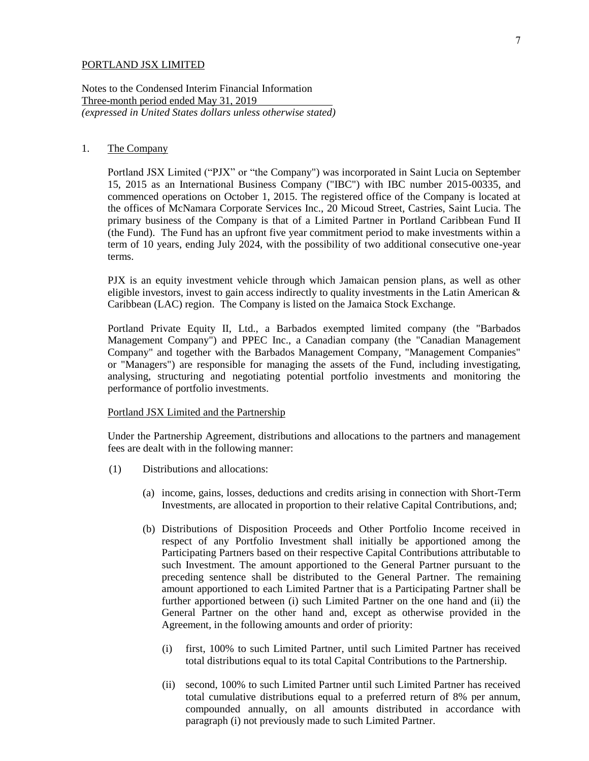Notes to the Condensed Interim Financial Information Three-month period ended May 31, 2019 *(expressed in United States dollars unless otherwise stated)*

### 1. The Company

Portland JSX Limited ("PJX" or "the Company") was incorporated in Saint Lucia on September 15, 2015 as an International Business Company ("IBC") with IBC number 2015-00335, and commenced operations on October 1, 2015. The registered office of the Company is located at the offices of McNamara Corporate Services Inc., 20 Micoud Street, Castries, Saint Lucia. The primary business of the Company is that of a Limited Partner in Portland Caribbean Fund II (the Fund). The Fund has an upfront five year commitment period to make investments within a term of 10 years, ending July  $2024$ , with the possibility of two additional consecutive one-year terms.

PJX is an equity investment vehicle through which Jamaican pension plans, as well as other eligible investors, invest to gain access indirectly to quality investments in the Latin American & Caribbean (LAC) region. The Company is listed on the Jamaica Stock Exchange.

Portland Private Equity II, Ltd., a Barbados exempted limited company (the "Barbados Management Company") and PPEC Inc., a Canadian company (the "Canadian Management Company" and together with the Barbados Management Company, "Management Companies" or "Managers") are responsible for managing the assets of the Fund, including investigating, analysing, structuring and negotiating potential portfolio investments and monitoring the performance of portfolio investments.

#### Portland JSX Limited and the Partnership

Under the Partnership Agreement, distributions and allocations to the partners and management fees are dealt with in the following manner:

- (1) Distributions and allocations:
	- (a) income, gains, losses, deductions and credits arising in connection with Short-Term Investments, are allocated in proportion to their relative Capital Contributions, and;
	- (b) Distributions of Disposition Proceeds and Other Portfolio Income received in respect of any Portfolio Investment shall initially be apportioned among the Participating Partners based on their respective Capital Contributions attributable to such Investment. The amount apportioned to the General Partner pursuant to the preceding sentence shall be distributed to the General Partner. The remaining amount apportioned to each Limited Partner that is a Participating Partner shall be further apportioned between (i) such Limited Partner on the one hand and (ii) the General Partner on the other hand and, except as otherwise provided in the Agreement, in the following amounts and order of priority:
		- (i) first, 100% to such Limited Partner, until such Limited Partner has received total distributions equal to its total Capital Contributions to the Partnership.
		- (ii) second, 100% to such Limited Partner until such Limited Partner has received total cumulative distributions equal to a preferred return of 8% per annum, compounded annually, on all amounts distributed in accordance with paragraph (i) not previously made to such Limited Partner.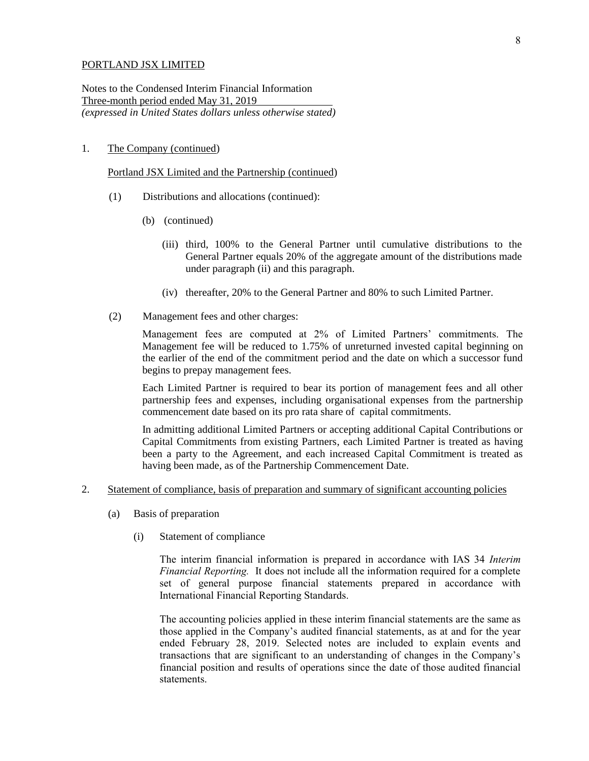Notes to the Condensed Interim Financial Information Three-month period ended May 31, 2019 *(expressed in United States dollars unless otherwise stated)*

## 1. The Company (continued)

Portland JSX Limited and the Partnership (continued)

- (1) Distributions and allocations (continued):
	- (b) (continued)
		- (iii) third, 100% to the General Partner until cumulative distributions to the General Partner equals 20% of the aggregate amount of the distributions made under paragraph (ii) and this paragraph.
		- (iv) thereafter, 20% to the General Partner and 80% to such Limited Partner.
- (2) Management fees and other charges:

Management fees are computed at 2% of Limited Partners' commitments. The Management fee will be reduced to 1.75% of unreturned invested capital beginning on the earlier of the end of the commitment period and the date on which a successor fund begins to prepay management fees.

Each Limited Partner is required to bear its portion of management fees and all other partnership fees and expenses, including organisational expenses from the partnership commencement date based on its pro rata share of capital commitments.

In admitting additional Limited Partners or accepting additional Capital Contributions or Capital Commitments from existing Partners, each Limited Partner is treated as having been a party to the Agreement, and each increased Capital Commitment is treated as having been made, as of the Partnership Commencement Date.

- 2. Statement of compliance, basis of preparation and summary of significant accounting policies
	- (a) Basis of preparation
		- (i) Statement of compliance

The interim financial information is prepared in accordance with IAS 34 *Interim Financial Reporting.* It does not include all the information required for a complete set of general purpose financial statements prepared in accordance with International Financial Reporting Standards.

The accounting policies applied in these interim financial statements are the same as those applied in the Company's audited financial statements, as at and for the year ended February 28, 2019. Selected notes are included to explain events and transactions that are significant to an understanding of changes in the Company's financial position and results of operations since the date of those audited financial statements.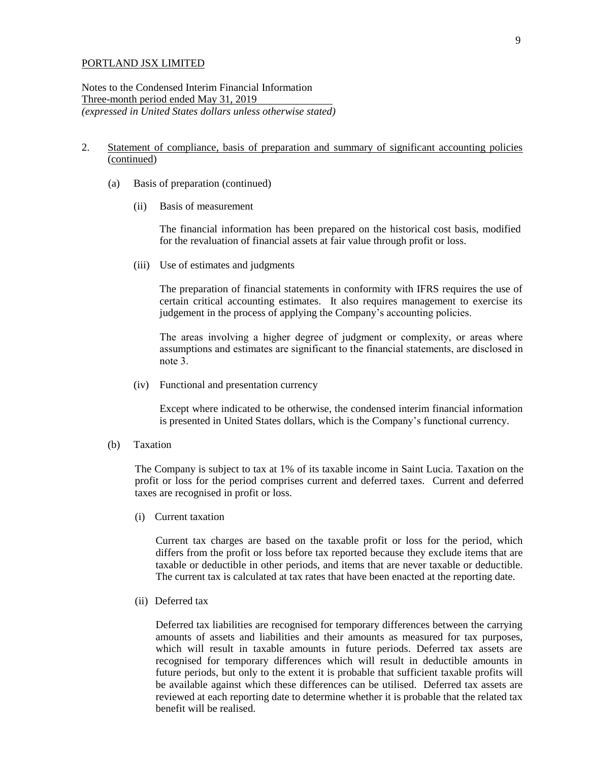Notes to the Condensed Interim Financial Information Three-month period ended May 31, 2019 *(expressed in United States dollars unless otherwise stated)*

## 2. Statement of compliance, basis of preparation and summary of significant accounting policies (continued)

- (a) Basis of preparation (continued)
	- (ii) Basis of measurement

The financial information has been prepared on the historical cost basis, modified for the revaluation of financial assets at fair value through profit or loss.

(iii) Use of estimates and judgments

The preparation of financial statements in conformity with IFRS requires the use of certain critical accounting estimates. It also requires management to exercise its judgement in the process of applying the Company's accounting policies.

The areas involving a higher degree of judgment or complexity, or areas where assumptions and estimates are significant to the financial statements, are disclosed in note 3.

(iv) Functional and presentation currency

Except where indicated to be otherwise, the condensed interim financial information is presented in United States dollars, which is the Company's functional currency.

(b) Taxation

The Company is subject to tax at 1% of its taxable income in Saint Lucia. Taxation on the profit or loss for the period comprises current and deferred taxes. Current and deferred taxes are recognised in profit or loss.

(i) Current taxation

Current tax charges are based on the taxable profit or loss for the period, which differs from the profit or loss before tax reported because they exclude items that are taxable or deductible in other periods, and items that are never taxable or deductible. The current tax is calculated at tax rates that have been enacted at the reporting date.

(ii) Deferred tax

Deferred tax liabilities are recognised for temporary differences between the carrying amounts of assets and liabilities and their amounts as measured for tax purposes, which will result in taxable amounts in future periods. Deferred tax assets are recognised for temporary differences which will result in deductible amounts in future periods, but only to the extent it is probable that sufficient taxable profits will be available against which these differences can be utilised. Deferred tax assets are reviewed at each reporting date to determine whether it is probable that the related tax benefit will be realised.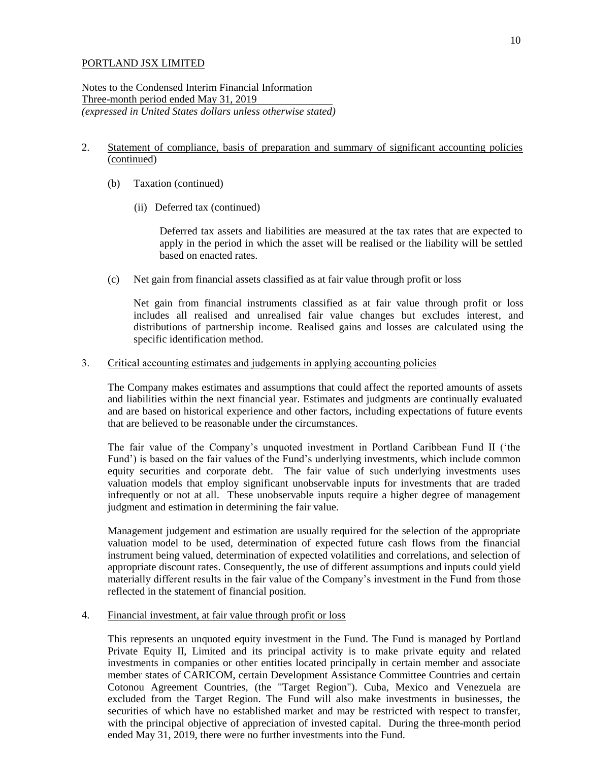Notes to the Condensed Interim Financial Information Three-month period ended May 31, 2019 *(expressed in United States dollars unless otherwise stated)*

#### 2. Statement of compliance, basis of preparation and summary of significant accounting policies (continued)

- (b) Taxation (continued)
	- (ii) Deferred tax (continued)

Deferred tax assets and liabilities are measured at the tax rates that are expected to apply in the period in which the asset will be realised or the liability will be settled based on enacted rates.

(c) Net gain from financial assets classified as at fair value through profit or loss

Net gain from financial instruments classified as at fair value through profit or loss includes all realised and unrealised fair value changes but excludes interest, and distributions of partnership income. Realised gains and losses are calculated using the specific identification method.

#### 3. Critical accounting estimates and judgements in applying accounting policies

The Company makes estimates and assumptions that could affect the reported amounts of assets and liabilities within the next financial year. Estimates and judgments are continually evaluated and are based on historical experience and other factors, including expectations of future events that are believed to be reasonable under the circumstances.

The fair value of the Company's unquoted investment in Portland Caribbean Fund II ('the Fund') is based on the fair values of the Fund's underlying investments, which include common equity securities and corporate debt. The fair value of such underlying investments uses valuation models that employ significant unobservable inputs for investments that are traded infrequently or not at all. These unobservable inputs require a higher degree of management judgment and estimation in determining the fair value.

Management judgement and estimation are usually required for the selection of the appropriate valuation model to be used, determination of expected future cash flows from the financial instrument being valued, determination of expected volatilities and correlations, and selection of appropriate discount rates. Consequently, the use of different assumptions and inputs could yield materially different results in the fair value of the Company's investment in the Fund from those reflected in the statement of financial position.

#### 4. Financial investment, at fair value through profit or loss

This represents an unquoted equity investment in the Fund. The Fund is managed by Portland Private Equity II, Limited and its principal activity is to make private equity and related investments in companies or other entities located principally in certain member and associate member states of CARICOM, certain Development Assistance Committee Countries and certain Cotonou Agreement Countries, (the "Target Region"). Cuba, Mexico and Venezuela are excluded from the Target Region. The Fund will also make investments in businesses, the securities of which have no established market and may be restricted with respect to transfer, with the principal objective of appreciation of invested capital. During the three-month period ended May 31, 2019, there were no further investments into the Fund.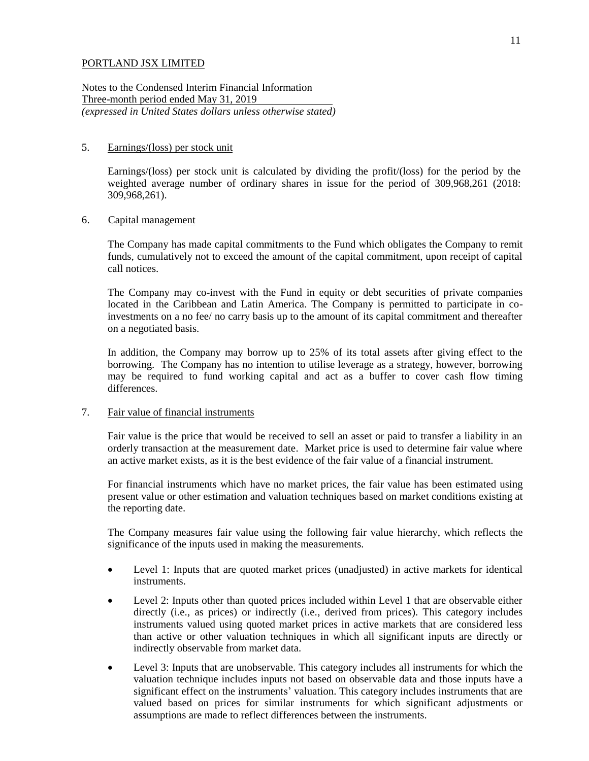Notes to the Condensed Interim Financial Information Three-month period ended May 31, 2019 *(expressed in United States dollars unless otherwise stated)*

#### 5. Earnings/(loss) per stock unit

Earnings/(loss) per stock unit is calculated by dividing the profit/(loss) for the period by the weighted average number of ordinary shares in issue for the period of 309,968,261 (2018: 309,968,261).

## 6. Capital management

The Company has made capital commitments to the Fund which obligates the Company to remit funds, cumulatively not to exceed the amount of the capital commitment, upon receipt of capital call notices.

The Company may co-invest with the Fund in equity or debt securities of private companies located in the Caribbean and Latin America. The Company is permitted to participate in coinvestments on a no fee/ no carry basis up to the amount of its capital commitment and thereafter on a negotiated basis.

In addition, the Company may borrow up to 25% of its total assets after giving effect to the borrowing. The Company has no intention to utilise leverage as a strategy, however, borrowing may be required to fund working capital and act as a buffer to cover cash flow timing differences.

#### 7. Fair value of financial instruments

Fair value is the price that would be received to sell an asset or paid to transfer a liability in an orderly transaction at the measurement date. Market price is used to determine fair value where an active market exists, as it is the best evidence of the fair value of a financial instrument.

For financial instruments which have no market prices, the fair value has been estimated using present value or other estimation and valuation techniques based on market conditions existing at the reporting date.

The Company measures fair value using the following fair value hierarchy, which reflects the significance of the inputs used in making the measurements.

- Level 1: Inputs that are quoted market prices (unadjusted) in active markets for identical instruments.
- Level 2: Inputs other than quoted prices included within Level 1 that are observable either directly (i.e., as prices) or indirectly (i.e., derived from prices). This category includes instruments valued using quoted market prices in active markets that are considered less than active or other valuation techniques in which all significant inputs are directly or indirectly observable from market data.
- Level 3: Inputs that are unobservable. This category includes all instruments for which the valuation technique includes inputs not based on observable data and those inputs have a significant effect on the instruments' valuation. This category includes instruments that are valued based on prices for similar instruments for which significant adjustments or assumptions are made to reflect differences between the instruments.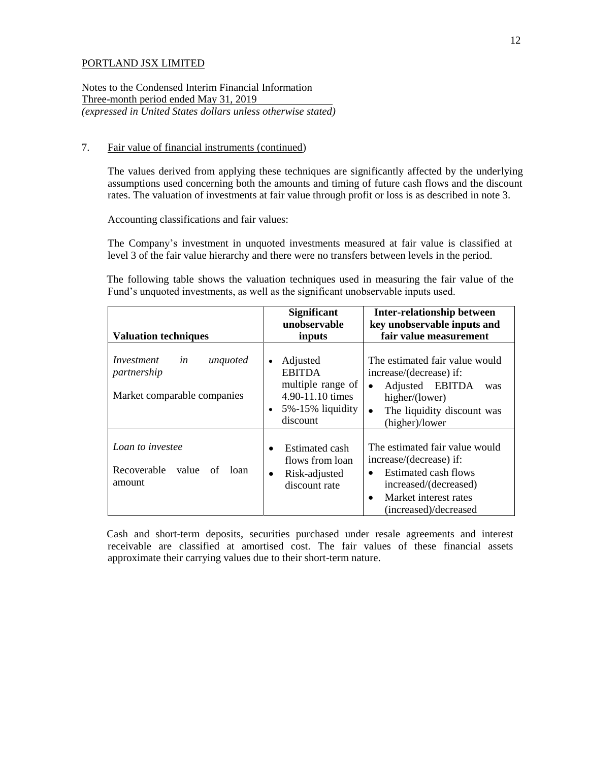Notes to the Condensed Interim Financial Information Three-month period ended May 31, 2019 *(expressed in United States dollars unless otherwise stated)*

## 7. Fair value of financial instruments (continued)

The values derived from applying these techniques are significantly affected by the underlying assumptions used concerning both the amounts and timing of future cash flows and the discount rates. The valuation of investments at fair value through profit or loss is as described in note 3.

Accounting classifications and fair values:

The Company's investment in unquoted investments measured at fair value is classified at level 3 of the fair value hierarchy and there were no transfers between levels in the period.

The following table shows the valuation techniques used in measuring the fair value of the Fund's unquoted investments, as well as the significant unobservable inputs used.

| <b>Valuation techniques</b>                                                | <b>Significant</b><br>unobservable<br>inputs                                                                    | Inter-relationship between<br>key unobservable inputs and<br>fair value measurement                                                                                                    |  |
|----------------------------------------------------------------------------|-----------------------------------------------------------------------------------------------------------------|----------------------------------------------------------------------------------------------------------------------------------------------------------------------------------------|--|
| Investment<br>in<br>unquoted<br>partnership<br>Market comparable companies | Adjusted<br>$\bullet$<br><b>EBITDA</b><br>multiple range of<br>4.90-11.10 times<br>5%-15% liquidity<br>discount | The estimated fair value would<br>increase/(decrease) if:<br>Adjusted EBITDA<br>was<br>$\bullet$<br>higher/(lower)<br>The liquidity discount was<br>$\bullet$<br>(higher)/lower        |  |
| Loan to investee<br>Recoverable<br>value<br>loan<br>of<br>amount           | <b>Estimated cash</b><br>flows from loan<br>Risk-adjusted<br>$\bullet$<br>discount rate                         | The estimated fair value would<br>increase/(decrease) if:<br>Estimated cash flows<br>$\bullet$<br>increased/(decreased)<br>Market interest rates<br>$\bullet$<br>(increased)/decreased |  |

Cash and short-term deposits, securities purchased under resale agreements and interest receivable are classified at amortised cost. The fair values of these financial assets approximate their carrying values due to their short-term nature.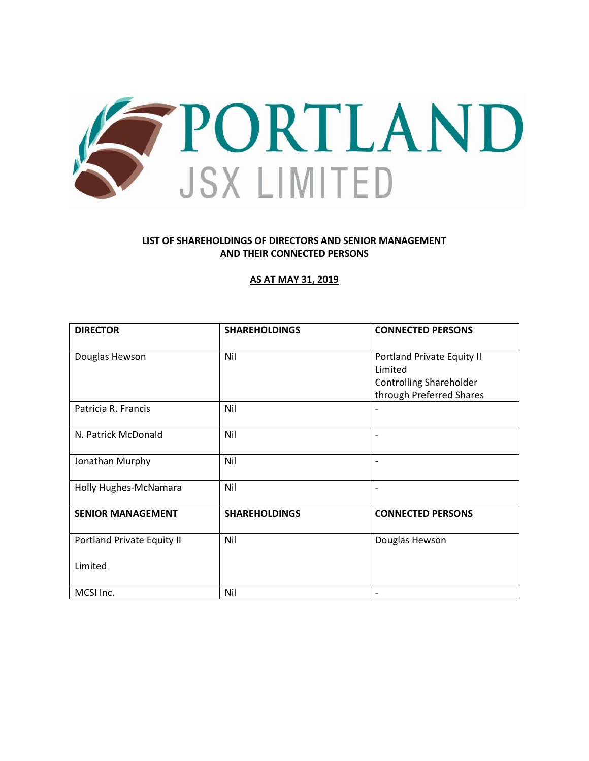

## **LIST OF SHAREHOLDINGS OF DIRECTORS AND SENIOR MANAGEMENT AND THEIR CONNECTED PERSONS**

### **AS AT MAY 31, 2019**

| <b>DIRECTOR</b>            | <b>SHAREHOLDINGS</b> | <b>CONNECTED PERSONS</b>       |
|----------------------------|----------------------|--------------------------------|
| Douglas Hewson             | Nil                  | Portland Private Equity II     |
|                            |                      | Limited                        |
|                            |                      | <b>Controlling Shareholder</b> |
|                            |                      | through Preferred Shares       |
| Patricia R. Francis        | Nil                  |                                |
| N. Patrick McDonald        | Nil                  | $\overline{\phantom{0}}$       |
| Jonathan Murphy            | Nil                  | $\overline{\phantom{0}}$       |
| Holly Hughes-McNamara      | Nil                  | $\overline{\phantom{0}}$       |
| <b>SENIOR MANAGEMENT</b>   | <b>SHAREHOLDINGS</b> | <b>CONNECTED PERSONS</b>       |
| Portland Private Equity II | Nil                  | Douglas Hewson                 |
| Limited                    |                      |                                |
| MCSI Inc.                  | Nil                  |                                |